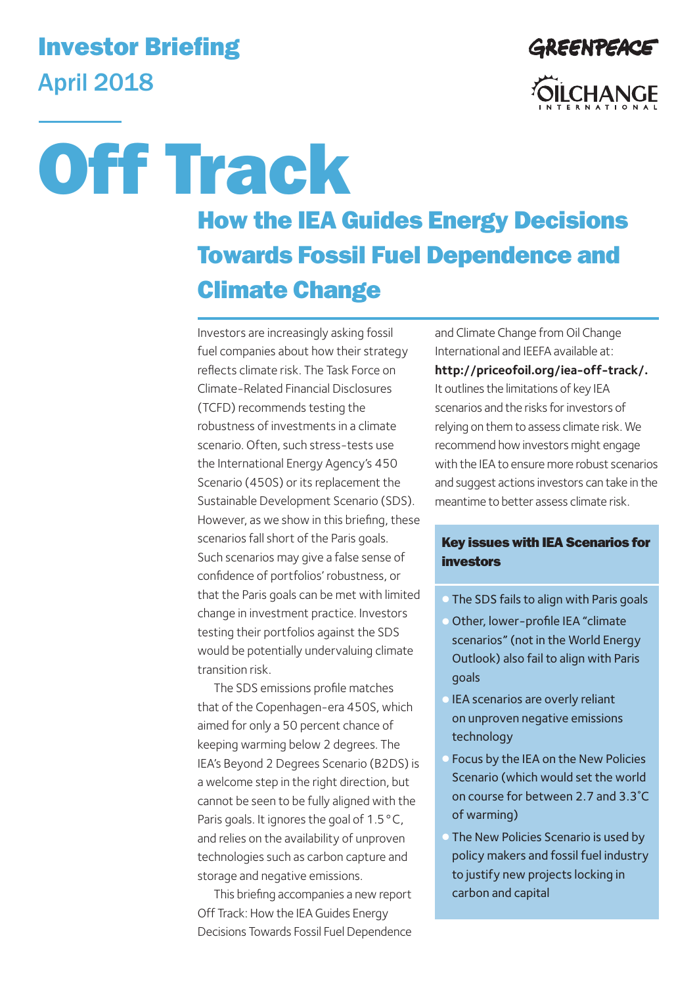## Investor Briefing April 2018



# How the IEA Guides Energy Decisions Towards Fossil Fuel Dependence and Climate Change Off Track

Investors are increasingly asking fossil fuel companies about how their strategy reflects climate risk. The Task Force on Climate-Related Financial Disclosures (TCFD) recommends testing the robustness of investments in a climate scenario. Often, such stress-tests use the International Energy Agency's 450 Scenario (450S) or its replacement the Sustainable Development Scenario (SDS). However, as we show in this briefing, these scenarios fall short of the Paris goals. Such scenarios may give a false sense of confidence of portfolios' robustness, or that the Paris goals can be met with limited change in investment practice. Investors testing their portfolios against the SDS would be potentially undervaluing climate transition risk.

The SDS emissions profile matches that of the Copenhagen-era 450S, which aimed for only a 50 percent chance of keeping warming below 2 degrees. The IEA's Beyond 2 Degrees Scenario (B2DS) is a welcome step in the right direction, but cannot be seen to be fully aligned with the Paris goals. It ignores the goal of 1.5 °C, and relies on the availability of unproven technologies such as carbon capture and storage and negative emissions.

This briefing accompanies a new report Off Track: How the IEA Guides Energy Decisions Towards Fossil Fuel Dependence and Climate Change from Oil Change International and IEEFA available at: **http://priceofoil.org/iea-off-track/.** It outlines the limitations of key IEA scenarios and the risks for investors of relying on them to assess climate risk. We recommend how investors might engage with the IEA to ensure more robust scenarios and suggest actions investors can take in the meantime to better assess climate risk.

#### Key issues with IEA Scenarios for investors

- The SDS fails to align with Paris goals
- Other, lower-profile IEA "climate scenarios" (not in the World Energy Outlook) also fail to align with Paris goals
- IEA scenarios are overly reliant on unproven negative emissions technology
- Focus by the IEA on the New Policies Scenario (which would set the world on course for between 2.7 and 3.3˚C of warming)
- The New Policies Scenario is used by policy makers and fossil fuel industry to justify new projects locking in carbon and capital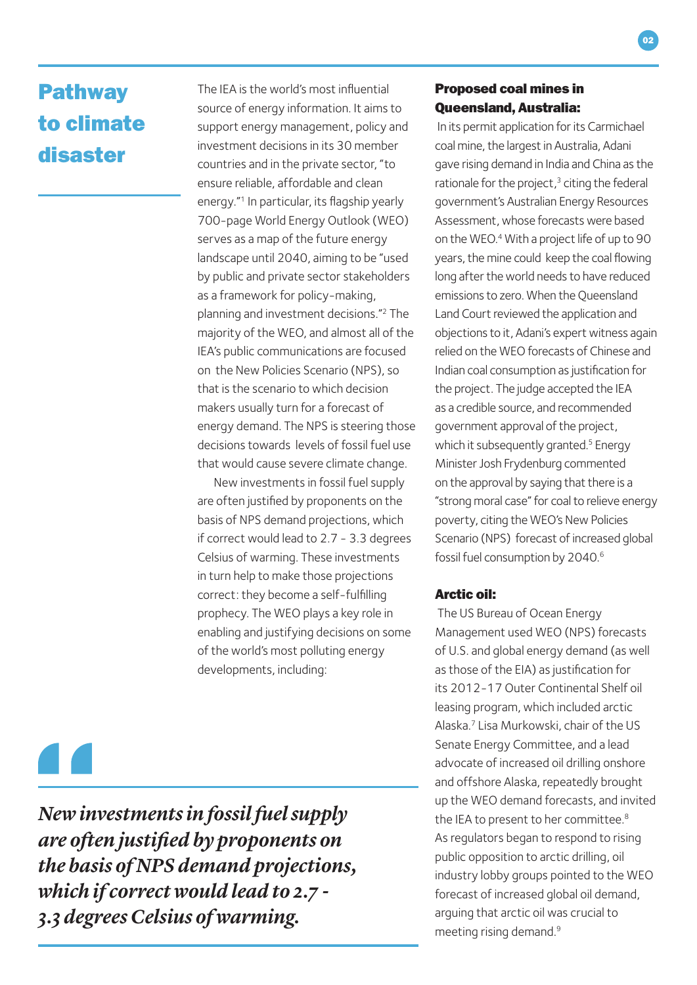### Pathway to climate disaster

The IEA is the world's most influential source of energy information. It aims to support energy management, policy and investment decisions in its 30 member countries and in the private sector, "to ensure reliable, affordable and clean energy."1 In particular, its flagship yearly 700-page World Energy Outlook (WEO) serves as a map of the future energy landscape until 2040, aiming to be "used by public and private sector stakeholders as a framework for policy-making, planning and investment decisions."2 The majority of the WEO, and almost all of the IEA's public communications are focused on the New Policies Scenario (NPS), so that is the scenario to which decision makers usually turn for a forecast of energy demand. The NPS is steering those decisions towards levels of fossil fueluse that would cause severe climate change.

New investments in fossil fuel supply are often justified by proponents on the basis of NPS demand projections, which if correct would lead to 2.7 - 3.3 degrees Celsius of warming. These investments in turn help to make those projections correct: they become a self-fulfilling prophecy. The WEO plays a key role in enabling and justifying decisions on some of the world's most polluting energy developments, including:

*New investments in fossil fuel supply are often justifed by proponents on the basis of NPS demand projections, which if correct would lead to 2.7 - 3.3 degrees Celsius of warming.*

#### Proposed coal mines in Queensland, Australia:

 In its permit application for its Carmichael coal mine, the largest in Australia, Adani gave rising demand in India and China as the rationale for the project, $3$  citing the federal government's Australian Energy Resources Assessment, whose forecasts were based on the WEO.4 With a project life of up to 90 years, the mine could keep the coal flowing long after the world needs to have reduced emissions to zero. When the Queensland Land Court reviewed the application and objections to it, Adani's expert witness again relied on the WEO forecasts of Chinese and Indian coal consumption as justification for the project. The judge accepted the IEA as a credible source, and recommended government approval of the project, which it subsequently granted.<sup>5</sup> Energy Minister Josh Frydenburg commented on the approval by saying that there is a "strong moral case" for coal to relieve energy poverty, citing the WEO's New Policies Scenario (NPS) forecast of increased global fossil fuel consumption by 2040.6

#### Arctic oil:

 The US Bureau of Ocean Energy Management used WEO (NPS) forecasts of U.S. and global energy demand (as well as those of the EIA) as justification for its 2012-17 Outer Continental Shelf oil leasing program, which included arctic Alaska.7 Lisa Murkowski, chair of the US Senate Energy Committee, and a lead advocate of increased oil drilling onshore and offshore Alaska, repeatedly brought up the WEO demand forecasts, and invited the IEA to present to her committee.<sup>8</sup> As regulators began to respond to rising public opposition to arctic drilling, oil industry lobby groups pointed to the WEO forecast of increased global oil demand, arguing that arctic oil was crucial to meeting rising demand.9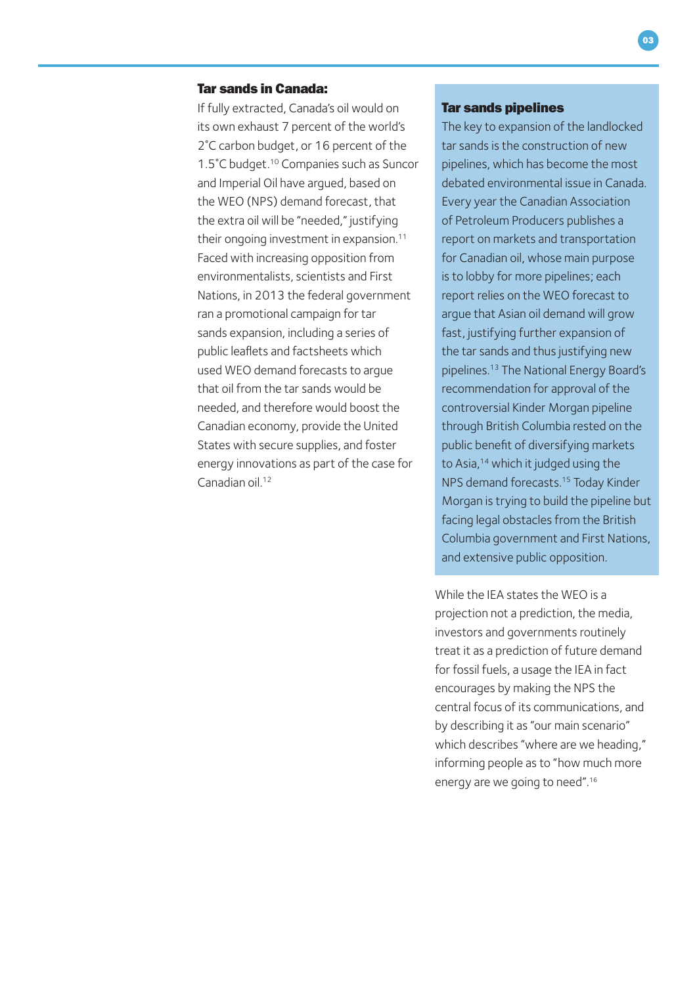#### Tar sands in Canada:

If fully extracted, Canada's oil would on its own exhaust 7 percent of the world's 2˚C carbon budget, or 16 percent of the 1.5°C budget.<sup>10</sup> Companies such as Suncor and Imperial Oil have argued, based on the WEO (NPS) demand forecast, that the extra oil will be "needed," justifying their ongoing investment in expansion.<sup>11</sup> Faced with increasing opposition from environmentalists, scientists and First Nations, in 2013 the federal government ran a promotional campaign for tar sands expansion, including a series of public leaflets and factsheets which used WEO demand forecasts to argue that oil from the tar sands would be needed, and therefore would boost the Canadian economy, provide the United States with secure supplies, and foster energy innovations as part of the case for Canadian oil<sup>12</sup>

#### Tar sands pipelines

The key to expansion of the landlocked tar sands is the construction of new pipelines, which has become the most debated environmental issue in Canada. Every year the Canadian Association of Petroleum Producers publishes a report on markets and transportation for Canadian oil, whose main purpose is to lobby for more pipelines; each report relies on the WEO forecast to argue that Asian oil demand will grow fast, justifying further expansion of the tar sands and thus justifying new pipelines.13 The National Energy Board's recommendation for approval of the controversial Kinder Morgan pipeline through British Columbia rested on the public benefit of diversifying markets to Asia,<sup>14</sup> which it judged using the NPS demand forecasts.15 Today Kinder Morgan is trying to build the pipeline but facing legal obstacles from the British Columbia government and First Nations, and extensive public opposition.

While the IEA states the WEO is a projection not a prediction, the media, investors and governments routinely treat it as a prediction of future demand for fossil fuels, a usage the IEA in fact encourages by making the NPS the central focus of its communications, and by describing it as "our main scenario" which describes "where are we heading," informing people as to "how much more energy are we going to need".16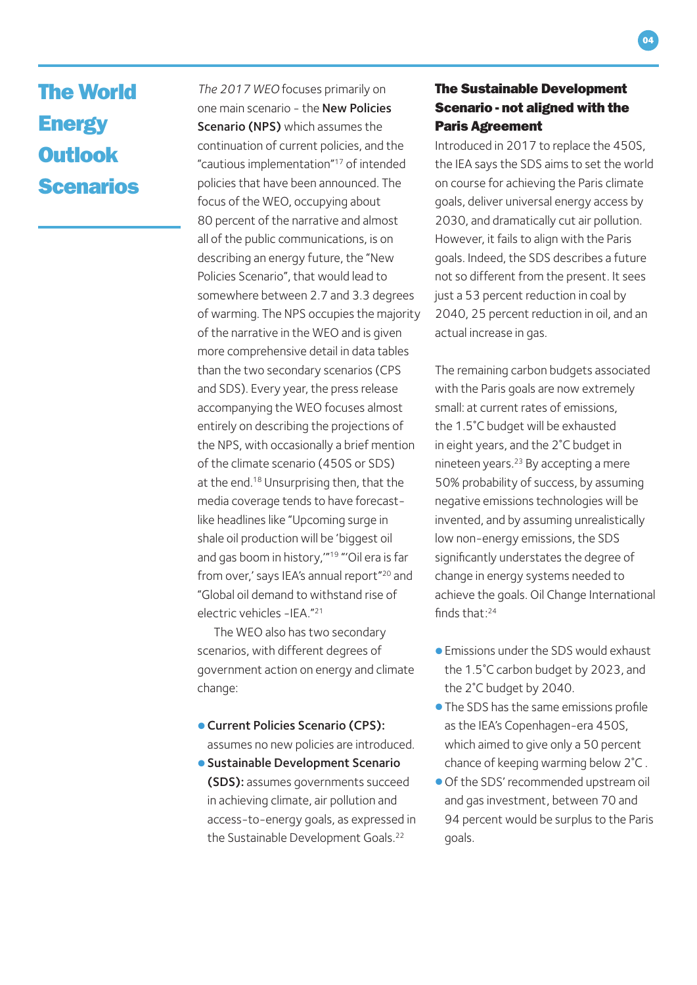### The World **Energy Outlook** Scenarios

*The 2017 WEO* focuses primarily on one main scenario - the New Policies Scenario (NPS) which assumes the continuation of current policies, and the "cautious implementation"17 of intended policies that have been announced. The focus of the WEO, occupying about 80 percent of the narrative and almost all of the public communications, is on describing an energy future, the "New Policies Scenario", that would lead to somewhere between 2.7 and 3.3 degrees of warming. The NPS occupies the majority of the narrative in the WEO and is given more comprehensive detail in data tables than the two secondary scenarios (CPS and SDS). Every year, the press release accompanying the WEO focuses almost entirely on describing the projections of the NPS, with occasionally a brief mention of the climate scenario (450S or SDS) at the end.<sup>18</sup> Unsurprising then, that the media coverage tends to have forecastlike headlines like "Upcoming surge in shale oil production will be 'biggest oil and gas boom in history,'"19 "'Oil era is far from over,' says IEA's annual report"<sup>20</sup> and "Global oil demand to withstand rise of electric vehicles -IEA."21

The WEO also has two secondary scenarios, with different degrees of government action on energy and climate change:

- •Current Policies Scenario (CPS): assumes no new policies are introduced.
- Sustainable Development Scenario (SDS): assumes governments succeed in achieving climate, air pollution and access-to-energy goals, as expressed in the Sustainable Development Goals.<sup>22</sup>

#### The Sustainable Development Scenario - not aligned with the Paris Agreement

Introduced in 2017 to replace the 450S, the IEA says the SDS aims to set the world on course for achieving the Paris climate goals, deliver universal energy access by 2030, and dramatically cut air pollution. However, it fails to align with the Paris goals. Indeed, the SDS describes a future not so different from the present. It sees just a 53 percent reduction in coal by 2040, 25 percent reduction in oil, and an actual increase in gas.

The remaining carbon budgets associated with the Paris goals are now extremely small: at current rates of emissions, the 1.5˚C budget will be exhausted in eight years, and the 2˚C budget in nineteen years.23 By accepting a mere 50% probability of success, by assuming negative emissions technologies will be invented, and by assuming unrealistically low non-energy emissions, the SDS significantly understates the degree of change in energy systems needed to achieve the goals. Oil Change International finds that $.24$ 

- •Emissions under the SDS would exhaust the 1.5˚C carbon budget by 2023, and the 2˚C budget by 2040.
- •The SDS has the same emissions profile as the IEA's Copenhagen-era 450S, which aimed to give only a 50 percent chance of keeping warming below 2˚C .
- •Of the SDS' recommended upstream oil and gas investment, between 70 and 94 percent would be surplus to the Paris goals.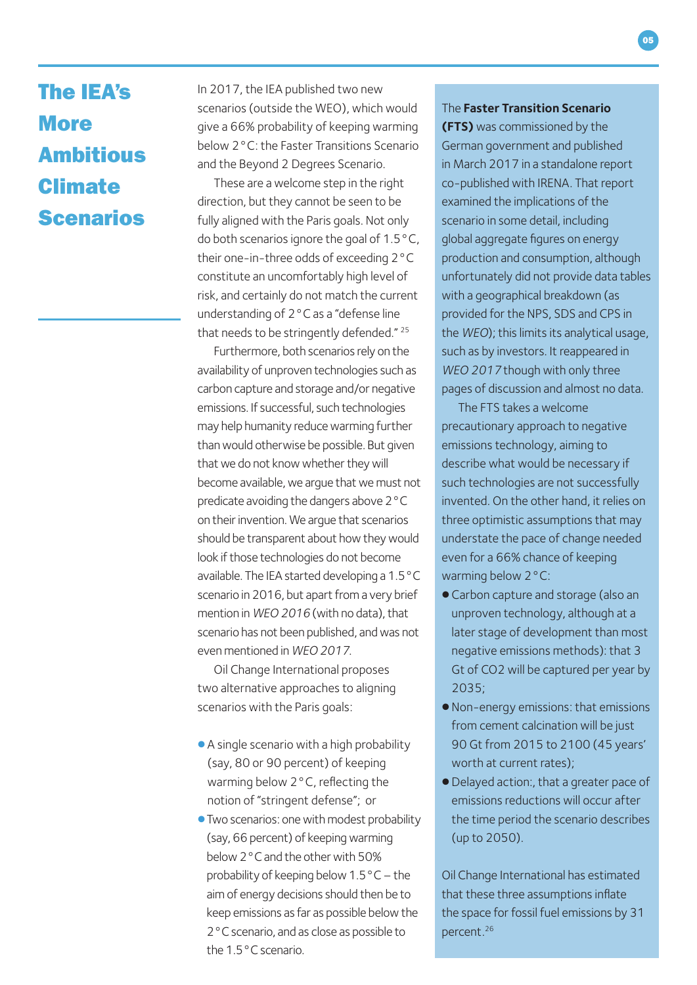### The IEA's **More** Ambitious Climate Scenarios

In 2017, the IEA published two new scenarios (outside the WEO), which would give a 66% probability of keeping warming below 2°C: the Faster Transitions Scenario and the Beyond 2 Degrees Scenario.

These are a welcome step in the right direction, but they cannot be seen to be fully aligned with the Paris goals. Not only do both scenarios ignore the goal of 1.5°C, their one-in-three odds of exceeding 2°C constitute an uncomfortably high level of risk, and certainly do not match the current understanding of 2°C as a "defense line that needs to be stringently defended." 25

Furthermore, both scenarios rely on the availability of unproven technologies such as carbon capture and storage and/or negative emissions. If successful, such technologies may help humanity reduce warming further than would otherwise be possible. But given that we do not know whether they will become available, we argue that we must not predicate avoiding the dangers above 2°C on their invention. We argue that scenarios should be transparent about how they would look if those technologies do not become available. The IEA started developing a 1.5°C scenario in 2016, but apart from a very brief mention in *WEO 2016* (with no data), that scenario has not been published, and was not even mentioned in *WEO 2017*.

Oil Change International proposes two alternative approaches to aligning scenarios with the Paris goals:

- A single scenario with a high probability (say, 80 or 90 percent) of keeping warming below 2°C, reflecting the notion of "stringent defense"; or
- •Two scenarios: one with modest probability (say, 66 percent) of keeping warming below 2°C and the other with 50% probability of keeping below 1.5°C – the aim of energy decisions should then be to keep emissions as far as possible below the 2°C scenario, and as close as possible to the 1.5°C scenario.

#### The **Faster Transition Scenario**

**(FTS)** was commissioned by the German government and published in March 2017 in a standalone report co-published with IRENA. That report examined the implications of the scenario in some detail, including global aggregate figures on energy production and consumption, although unfortunately did not provide data tables with a geographical breakdown (as provided for the NPS, SDS and CPS in the *WEO*); this limits its analytical usage, such as by investors. It reappeared in *WEO 2017* though with only three pages of discussion and almost no data.

The FTS takes a welcome precautionary approach to negative emissions technology, aiming to describe what would be necessary if such technologies are not successfully invented. On the other hand, it relies on three optimistic assumptions that may understate the pace of change needed even for a 66% chance of keeping warming below 2°C:

- Carbon capture and storage (also an unproven technology, although at a later stage of development than most negative emissions methods): that 3 Gt of CO2 will be captured per year by 2035;
- •Non-energy emissions: that emissions from cement calcination will be just 90 Gt from 2015 to 2100 (45 years' worth at current rates);
- •Delayed action:, that a greater pace of emissions reductions will occur after the time period the scenario describes (up to 2050).

Oil Change International has estimated that these three assumptions inflate the space for fossil fuel emissions by 31 percent.26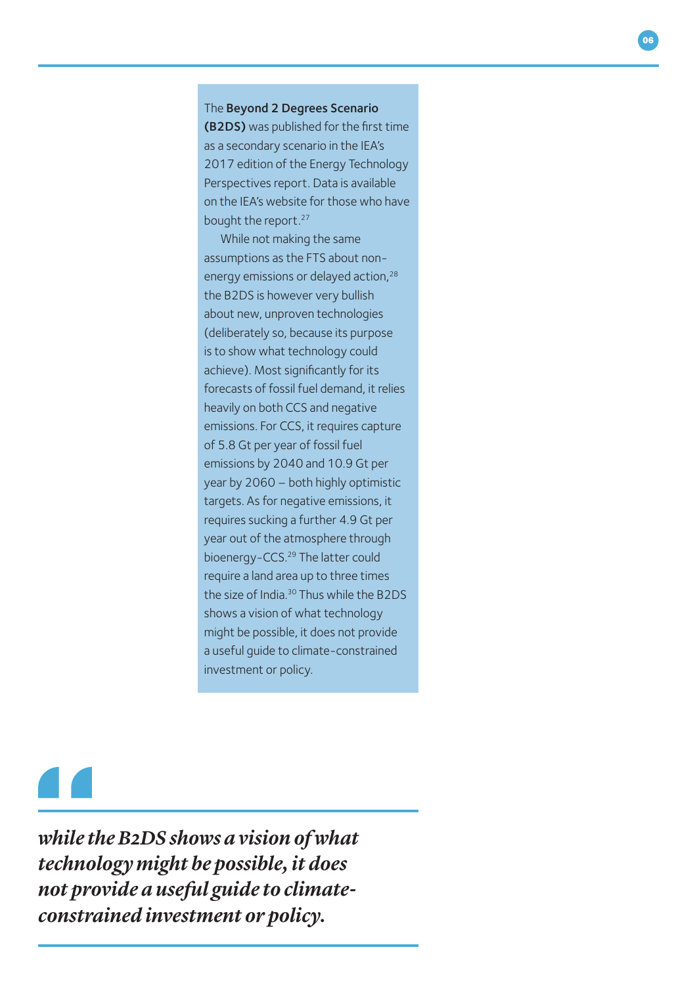The Beyond 2 Degrees Scenario (B2DS) was published for the first time as a secondary scenario in the IEA's 2017 edition of the Energy Technology Perspectives report. Data is available on the IEA's website for those who have bought the report.27

While not making the same assumptions as the FTS about nonenergy emissions or delayed action,<sup>28</sup> the B2DS is however very bullish about new, unproven technologies (deliberately so, because its purpose is to show what technology could achieve). Most significantly for its forecasts of fossil fuel demand, it relies heavily on both CCS and negative emissions. For CCS, it requires capture of 5.8 Gt per year of fossil fuel emissions by 2040 and 10.9 Gt per year by 2060 – both highly optimistic targets. As for negative emissions, it requires sucking a further 4.9 Gt per year out of the atmosphere through bioenergy-CCS.<sup>29</sup> The latter could require a land area up to three times the size of India.<sup>30</sup> Thus while the B2DS shows a vision of what technology might be possible, it does not provide a useful guide to climate-constrained investment or policy.

*while the B2DS shows a vision of what technology might be possible, it does not provide a useful guide to climateconstrained investment or policy.*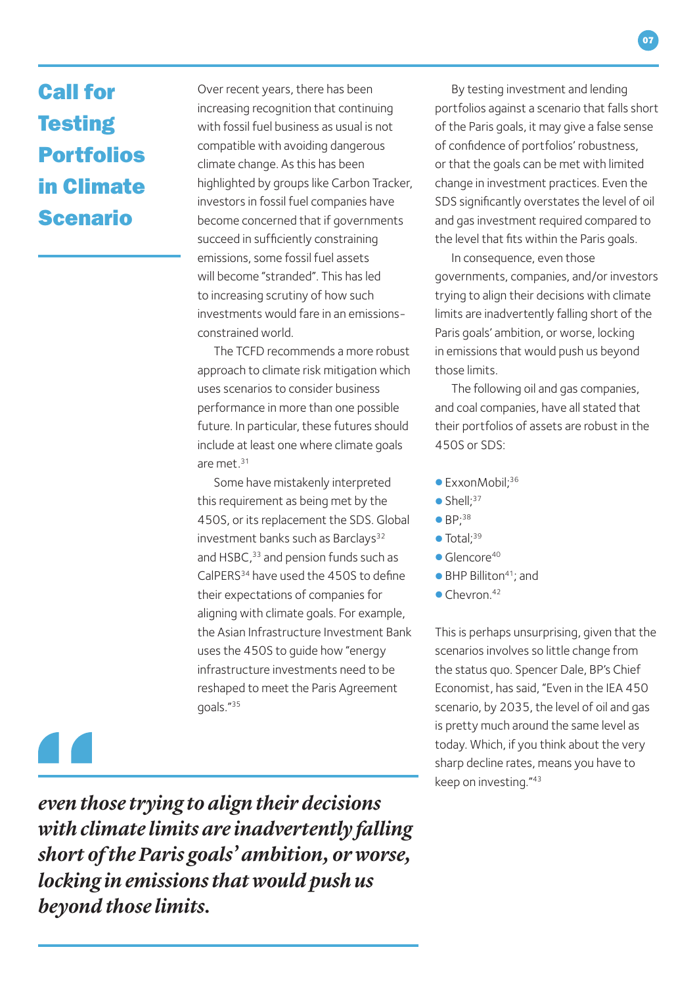## Call for **Testing** Portfolios in Climate Scenario

Over recent years, there has been increasing recognition that continuing with fossil fuel business as usual is not compatible with avoiding dangerous climate change. As this has been highlighted by groups like Carbon Tracker, investors in fossil fuel companies have become concerned that if governments succeed in sufficiently constraining emissions, some fossil fuel assets will become "stranded". This has led to increasing scrutiny of how such investments would fare in an emissionsconstrained world.

The TCFD recommends a more robust approach to climate risk mitigation which uses scenarios to consider business performance in more than one possible future. In particular, these futures should include at least one where climate goals are met.31

Some have mistakenly interpreted this requirement as being met by the 450S, or its replacement the SDS. Global investment banks such as Barclays<sup>32</sup> and HSBC.<sup>33</sup> and pension funds such as CalPERS34 have used the 450S to define their expectations of companies for aligning with climate goals. For example, the Asian Infrastructure Investment Bank uses the 450S to guide how "energy infrastructure investments need to be reshaped to meet the Paris Agreement goals."35

 $\blacksquare$ 

*even those trying to align their decisions with climate limits are inadvertently falling short of the Paris goals' ambition, or worse, locking in emissions that would push us beyond those limits.* 

By testing investment and lending portfolios against a scenario that falls short of the Paris goals, it may give a false sense of confidence of portfolios' robustness, or that the goals can be met with limited change in investment practices. Even the SDS significantly overstates the level of oil and gas investment required compared to the level that fits within the Paris goals.

In consequence, even those governments, companies, and/or investors trying to align their decisions with climate limits are inadvertently falling short of the Paris goals' ambition, or worse, locking in emissions that would push us beyond those limits.

The following oil and gas companies, and coal companies, have all stated that their portfolios of assets are robust in the 450S or SDS:

- ExxonMobil: 36
- $\bullet$  Shell: $37$
- $\bullet$  BP:<sup>38</sup>
- $\bullet$  Total: $39$
- $\bullet$  Glencore<sup>40</sup>
- $\bullet$  BHP Billiton<sup>41</sup>; and
- $\bullet$  Chevron.<sup>42</sup>

This is perhaps unsurprising, given that the scenarios involves so little change from the status quo. Spencer Dale, BP's Chief Economist, has said, "Even in the IEA 450 scenario, by 2035, the level of oil and gas is pretty much around the same level as today. Which, if you think about the very sharp decline rates, means you have to keep on investing."43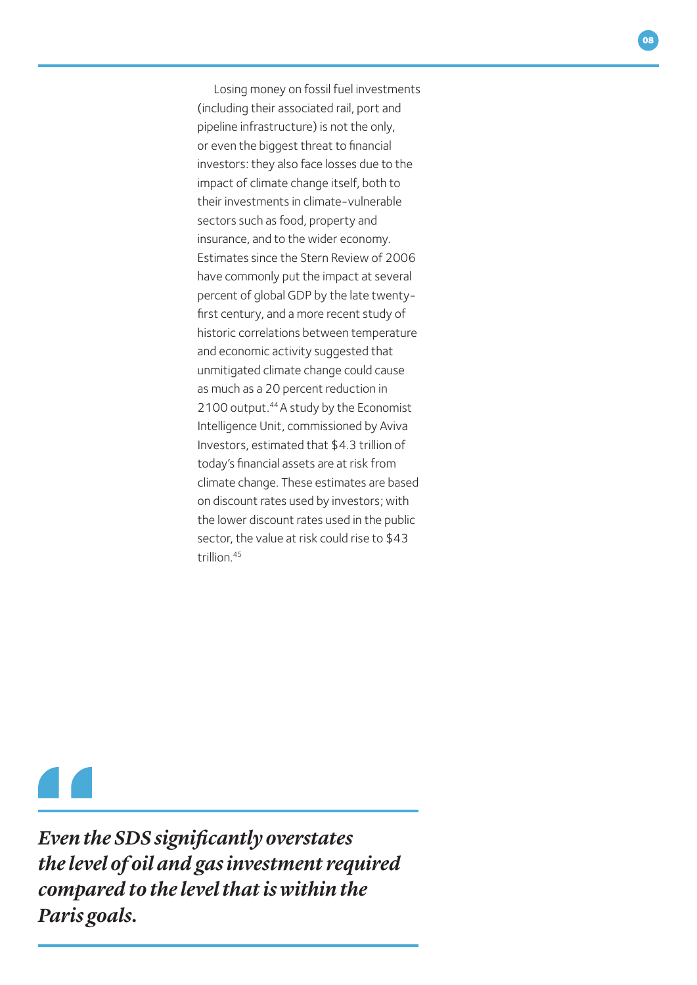Losing money on fossil fuel investments (including their associated rail, port and pipeline infrastructure) is not the only, or even the biggest threat to financial investors: they also face losses due to the impact of climate change itself, both to their investments in climate-vulnerable sectors such as food, property and insurance, and to the wider economy. Estimates since the Stern Review of 2006 have commonly put the impact at several percent of global GDP by the late twentyfirst century, and a more recent study of historic correlations between temperature and economic activity suggested that unmitigated climate change could cause as much as a 20 percent reduction in 2100 output.<sup>44</sup> A study by the Economist Intelligence Unit, commissioned by Aviva Investors, estimated that \$4.3 trillion of today's financial assets are at risk from climate change. These estimates are based on discount rates used by investors; with the lower discount rates used in the public sector, the value at risk could rise to \$43 trillion.45

*Even the SDS signifcantly overstates the level of oil and gas investment required compared to the level that is within the Paris goals.*

08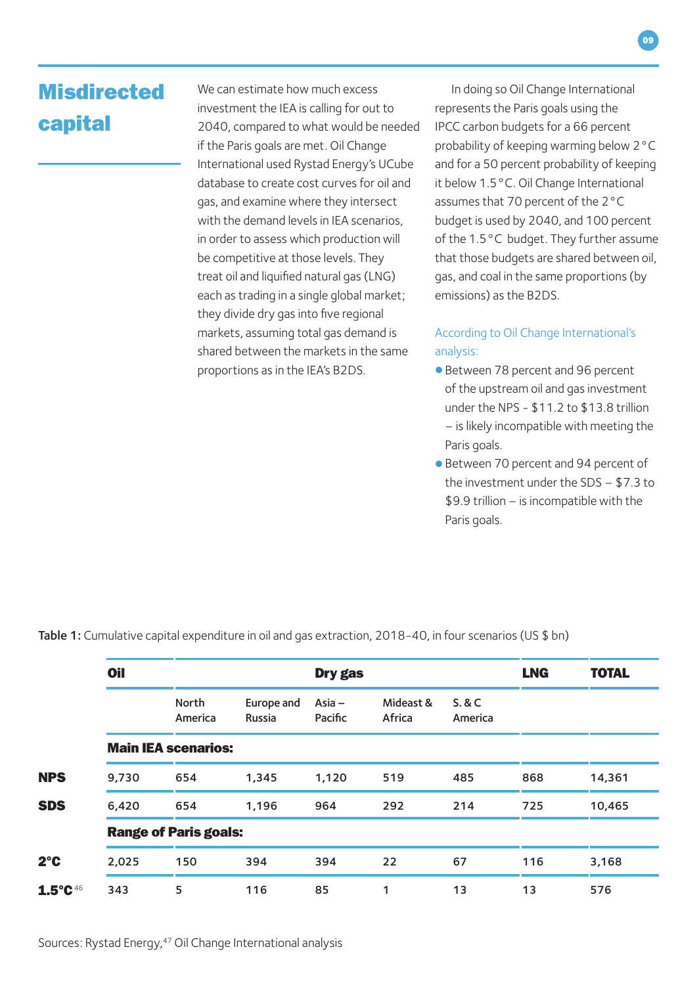### **Misdirected** capital

We can estimate how much excess investment the IEA is calling for out to 2040, compared to what would be needed if the Paris goals are met. Oil Change International used Rystad Energy's UCube database to create cost curves for oil and gas, and examine where they intersect with the demand levels in IEA scenarios, in order to assess which production will be competitive at those levels. They treat oil and liquified natural gas (LNG) each as trading in a single global market; they divide dry gas into five regional markets, assuming total gas demand is shared between the markets in the same proportions as in the IEA's B2DS.

In doing so Oil Change International represents the Paris goals using the IPCC carbon budgets for a 66 percent probability of keeping warming below 2°C and for a 50 percent probability of keeping it below 1.5°C. Oil Change International assumes that 70 percent of the 2°C budget is used by 2040, and 100 percent of the 1.5°C budget. They further assume that those budgets are shared between oil, gas, and coal in the same proportions (by emissions) as the B2DS.

#### According to Oil Change International's analysis:

- Between 78 percent and 96 percent of the upstream oil and gas investment under the NPS - \$11.2 to \$13.8 trillion – is likely incompatible with meeting the Paris goals.
- Between 70 percent and 94 percent of the investment under the SDS – \$7.3 to \$9.9 trillion – is incompatible with the Paris goals.

|                     | <b>Oil</b>                   | <b>Dry gas</b>   |                      |                     |                     |                            | <b>LNG</b> | <b>TOTAL</b> |  |  |  |
|---------------------|------------------------------|------------------|----------------------|---------------------|---------------------|----------------------------|------------|--------------|--|--|--|
|                     |                              | North<br>America | Europe and<br>Russia | Asia $-$<br>Pacific | Mideast &<br>Africa | <b>S.&amp;C</b><br>America |            |              |  |  |  |
|                     | <b>Main IEA scenarios:</b>   |                  |                      |                     |                     |                            |            |              |  |  |  |
| <b>NPS</b>          | 9,730                        | 654              | 1,345                | 1,120               | 519                 | 485                        | 868        | 14,361       |  |  |  |
| <b>SDS</b>          | 6,420                        | 654              | 1,196                | 964                 | 292                 | 214                        | 725        | 10,465       |  |  |  |
|                     | <b>Range of Paris goals:</b> |                  |                      |                     |                     |                            |            |              |  |  |  |
| $2^{\circ}$ C       | 2,025                        | 150              | 394                  | 394                 | 22                  | 67                         | 116        | 3,168        |  |  |  |
| $1.5^{\circ}C^{46}$ | 343                          | 5                | 116                  | 85                  | 1                   | 13                         | 13         | 576          |  |  |  |

Table 1: Cumulative capital expenditure in oil and gas extraction, 2018-40, in four scenarios (US \$ bn)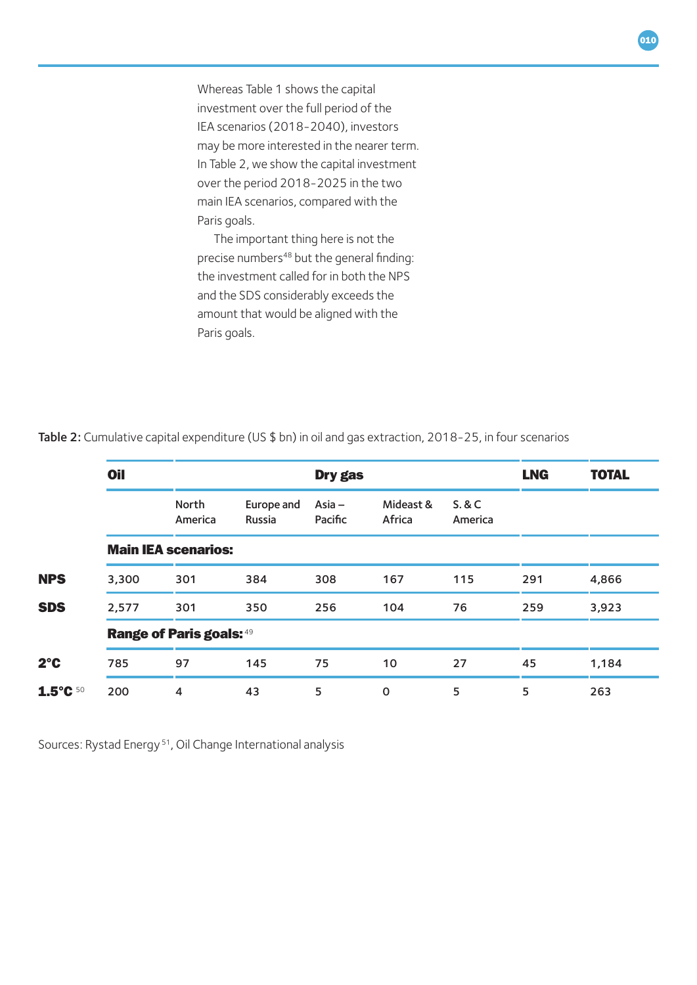Whereas Table 1 shows the capital investment over the full period of the IEA scenarios (2018-2040), investors may be more interested in the nearer term. In Table 2, we show the capital investment over the period 2018-2025 in the two main IEA scenarios, compared with the Paris goals.

The important thing here is not the precise numbers<sup>48</sup> but the general finding: the investment called for in both the NPS and the SDS considerably exceeds the amount that would be aligned with the Paris goals.

|                    | <b>Oil</b>                      |                  |                             | <b>Dry gas</b>      |                     | <b>LNG</b>        | <b>TOTAL</b> |       |  |  |  |
|--------------------|---------------------------------|------------------|-----------------------------|---------------------|---------------------|-------------------|--------------|-------|--|--|--|
|                    |                                 | North<br>America | Europe and<br><b>Russia</b> | Asia $-$<br>Pacific | Mideast &<br>Africa | S. & C<br>America |              |       |  |  |  |
|                    | <b>Main IEA scenarios:</b>      |                  |                             |                     |                     |                   |              |       |  |  |  |
| <b>NPS</b>         | 3,300                           | 301              | 384                         | 308                 | 167                 | 115               | 291          | 4,866 |  |  |  |
| <b>SDS</b>         | 2,577                           | 301              | 350                         | 256                 | 104                 | 76                | 259          | 3,923 |  |  |  |
|                    | <b>Range of Paris goals: 49</b> |                  |                             |                     |                     |                   |              |       |  |  |  |
| $2^{\circ}$ C      | 785                             | 97               | 145                         | 75                  | 10                  | 27                | 45           | 1,184 |  |  |  |
| $1.5^{\circ}$ C 50 | 200                             | 4                | 43                          | 5                   | $\mathbf 0$         | 5                 | 5            | 263   |  |  |  |

Table 2: Cumulative capital expenditure (US \$ bn) in oil and gas extraction, 2018-25, in four scenarios

Sources: Rystad Energy 51, Oil Change International analysis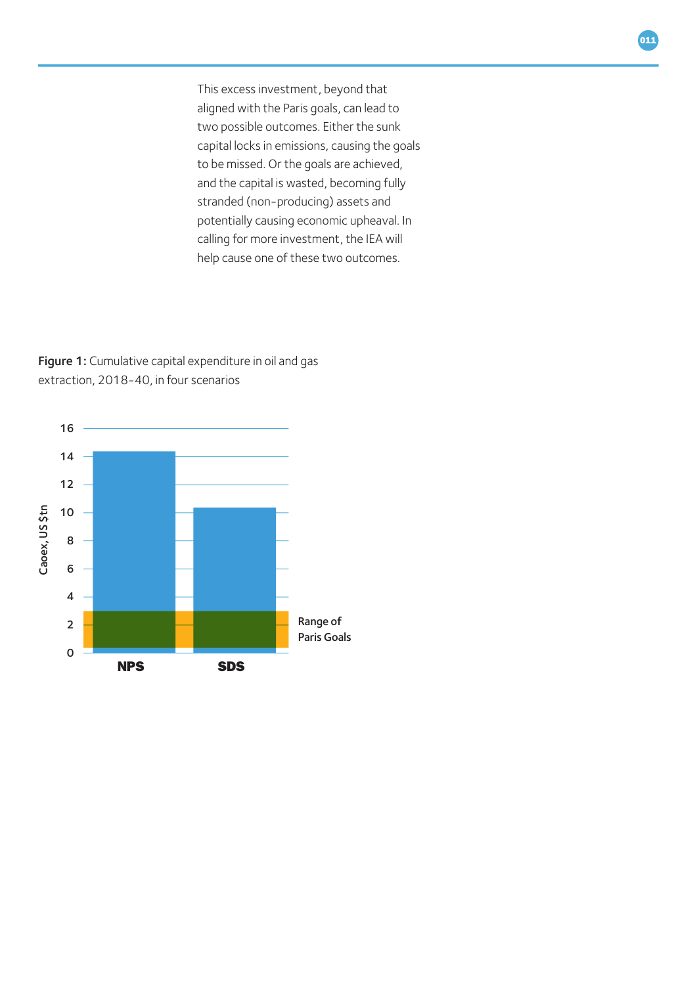This excess investment, beyond that aligned with the Paris goals, can lead to two possible outcomes. Either the sunk capital locks in emissions, causing the goals to be missed. Or the goals are achieved, and the capital is wasted, becoming fully stranded (non-producing) assets and potentially causing economic upheaval. In calling for more investment, the IEA will help cause one of these two outcomes.

Figure 1: Cumulative capital expenditure in oil and gas extraction, 2018-40, in four scenarios

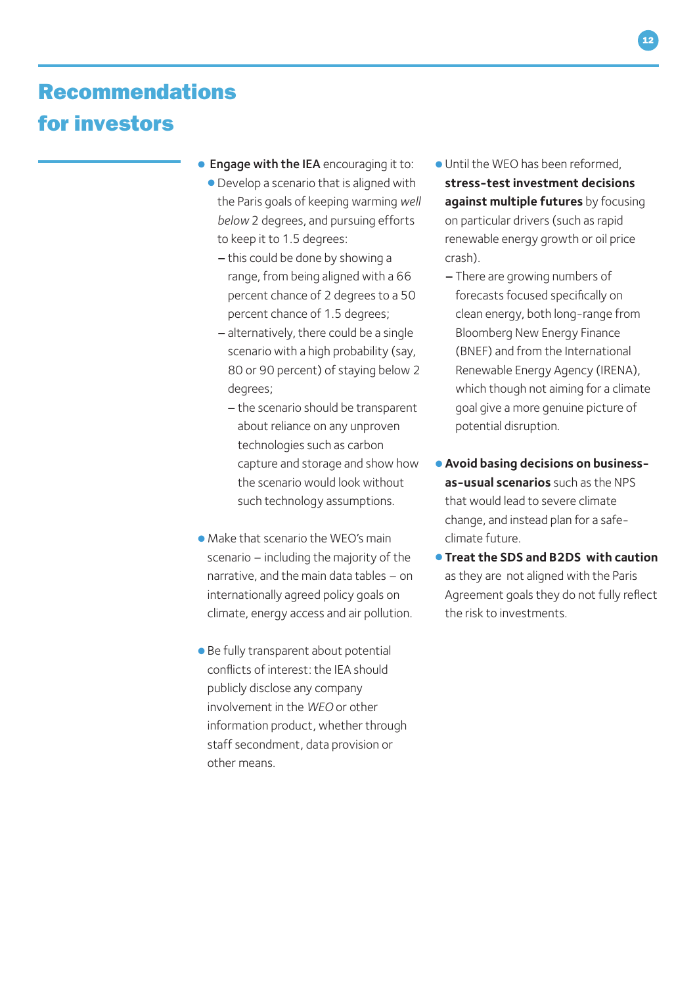### Recommendations for investors

- Engage with the IEA encouraging it to:
	- •Develop a scenario that is aligned with the Paris goals of keeping warming *well below* 2 degrees, and pursuing efforts to keep it to 1.5 degrees:
		- –this could be done by showing a range, from being aligned with a 66 percent chance of 2 degrees to a 50 percent chance of 1.5 degrees;
		- –alternatively, there could be a single scenario with a high probability (say, 80 or 90 percent) of staying below 2 degrees;
			- –the scenario should be transparent about reliance on any unproven technologies such as carbon capture and storage and show how the scenario would look without such technology assumptions.
- Make that scenario the WEO's main scenario – including the majority of the narrative, and the main data tables – on internationally agreed policy goals on climate, energy access and air pollution.
- Be fully transparent about potential conflicts of interest: the IEA should publicly disclose any company involvement in the *WEO* or other information product, whether through staff secondment, data provision or other means.
- Until the WEO has been reformed, **stress-test investment decisions against multiple futures** by focusing on particular drivers (such as rapid renewable energy growth or oil price crash).
	- –There are growing numbers of forecasts focused specifically on clean energy, both long-range from Bloomberg New Energy Finance (BNEF) and from the International Renewable Energy Agency (IRENA), which though not aiming for a climate goal give a more genuine picture of potential disruption.
- •**Avoid basing decisions on businessas-usual scenarios** such as the NPS that would lead to severe climate change, and instead plan for a safeclimate future.
- **Treat the SDS and B2DS with caution** as they are not aligned with the Paris Agreement goals they do not fully reflect the risk to investments.